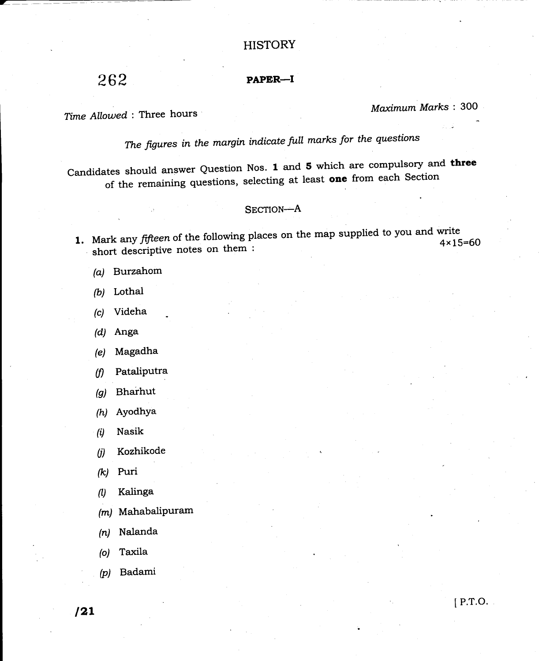# **HISTORY**

262

# PAPER\_I

Time Allowed : Three hours Maximum Marks : 300

The figures in the margin indicate full marks for the questions

candidates should answer Question Nos. 1 and 5 which are compulsory and three of the remaining questions, selecting at least one from each Section

## SECTION-A

- **1.** Mark any *fifteen* of the following places on the map supplied to you allow  $4 \times 15=60$  short descriptive notes on them :
	- (a) Burzahom
	- (b) Lothal
	- (c) Videha
	- (d) Anga
	- (e) Magadha
	- (f) Pataliputra
	- (g) Bharhut
	- (h) Ayodhya
	- $(i)$  Nasik
	- (i) Kozhikode
	- (k) Puri
	- 0 Kalinga
	- $(m)$  Mahabalipuram
	- (n) Nalanda
	- (o) Taxila
	- (p) Badami

 $\sqrt{21}$  [P.T.O.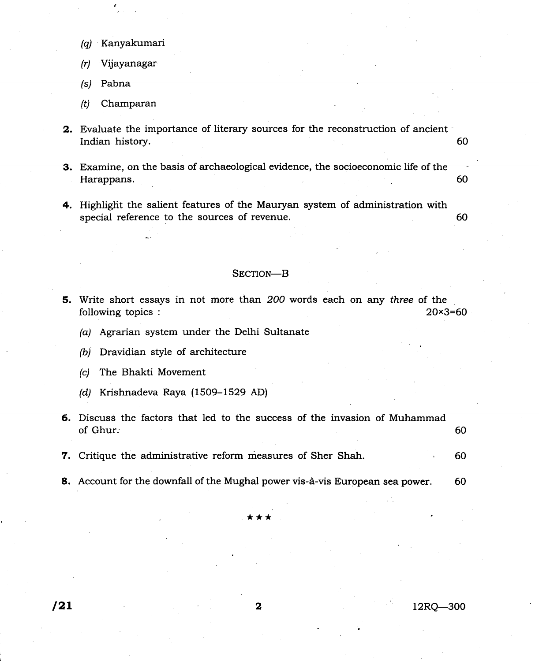- (ql Kanyakumari
- (r) Vijayanagar
- /si Pabna
- (t) Champaran
- 2. Evaluate the importance of literary sources for the reconstruction of ancient Indian history. 60
- 3. Examine, on the basis of archaeological evidence, the socioeconomic life of the Harappans. <sup>60</sup>
- 4. Highlight the salient features of the Mauryan system of administration with special reference to the sources of revenue.  $\sim 60$

### SECTION-B

- 5. Write short essays in not more than 2OO words each on any three of the following topics : 20 x 3= 60
	- (a) Agrarian system under the Delhi Sultanate
	- (b) Dravidian style of architecture
	- (c) The Bhakti Movement
	- (d) Krishnadeva Raya (1509-1529 AD)
- 6. Discuss the factors that led to the success of the invasion of Muhammad of Ghur. $\qquad \qquad 60$
- 7. Critique the administrative reform measures of Sher Shah. 60
- 8. Account for the downfall of the Mughal power vis-à-vis European sea power. 60

\*\*\*

 $l2$  12RQ-300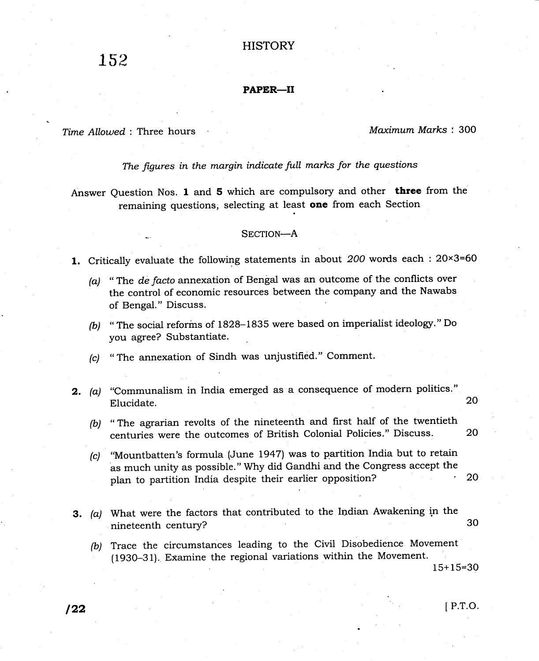# **HISTORY**

### PAPER\_II

Time Allowed: Three hours Maximum Marks: 300

# The figures in the margin indicate full marks for the questions

Answer Question Nos. I and 5 which are compulsory and other three from the remaining questions, selecting at least one from each Section

### SECTION-A

1. Critically evaluate the following statements in about  $200$  words each :  $20 \times 3=60$ 

- (a) " The de facto annexation of Bengal was an outcome of the conflicts over the control of economic resources between the company and the Nawabs of Bengal." Discuss.
- (b) "The social reforins of 1828-1835 were based on imperialist ideologr." Do you agree? Substantiate.
- (c) " The annexation of Sindh was unjustified." Comment.
- **2.** (a) "Communalism in India emerged as a consequence of modern politics'" Elucidate. 20
	- (b) "The agrarian revolts of the nineteenth and first half of the twentieth centuries were the outcomes of British Colonial Policies." Discuss. <sup>20</sup>
	- (c) "Mountbatten's formula (June 1947) was to partition India but to retain as much unity as possible." Why did Gandhi and the Congress accept the plan to partition India despite their earlier opposition? <sup>20</sup>
- 3. (a) What were the factors that contributed to the Indian Awakening in the nineteenth century? 30
	- (b) Trace the circumstances leading to the Civil Disobedience Movement (1930-31). Examine the regional variations within the Movement.

 $15+15=30$ 

# $122$  P.T.O.